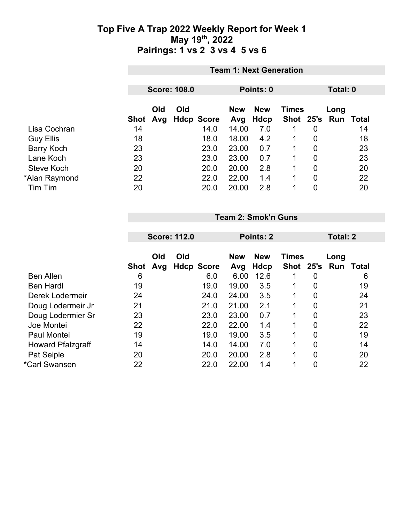|                   |      | <b>Team 1: Next Generation</b> |     |                |                   |                    |              |                |                             |          |  |
|-------------------|------|--------------------------------|-----|----------------|-------------------|--------------------|--------------|----------------|-----------------------------|----------|--|
|                   |      | <b>Score: 108.0</b>            |     |                |                   | Points: 0          |              |                |                             | Total: 0 |  |
|                   | Shot | Old                            | Old | Avg Hdcp Score | <b>New</b><br>Avg | <b>New</b><br>Hdcp | <b>Times</b> |                | Long<br>Shot 25's Run Total |          |  |
| Lisa Cochran      | 14   |                                |     | 14.0           | 14.00             | 7.0                | 1.           | $\overline{0}$ |                             | 14       |  |
| <b>Guy Ellis</b>  | 18   |                                |     | 18.0           | 18.00             | 4.2                |              | $\overline{0}$ |                             | 18       |  |
| <b>Barry Koch</b> | 23   |                                |     | 23.0           | 23.00             | 0.7                |              | $\overline{0}$ |                             | 23       |  |
| Lane Koch         | 23   |                                |     | 23.0           | 23.00             | 0.7                |              | 0              |                             | 23       |  |
| Steve Koch        | 20   |                                |     | 20.0           | 20.00             | 2.8                | 1            | $\overline{0}$ |                             | 20       |  |
| *Alan Raymond     | 22   |                                |     | 22.0           | 22.00             | 1.4                |              | $\overline{0}$ |                             | 22       |  |
| Tim Tim           | 20   |                                |     | 20.0           | 20.00             | 2.8                |              | 0              |                             | 20       |  |

**Team 2: Smok'n Guns**

| <b>Score: 112.0</b> |             |     | Points: 2 |                   |            |             | Total: 2       |                           |                  |
|---------------------|-------------|-----|-----------|-------------------|------------|-------------|----------------|---------------------------|------------------|
|                     | Old         | Old |           | <b>New</b>        | <b>New</b> |             |                | Long                      |                  |
| 6                   |             |     | 6.0       | 6.00              | 12.6       | 1           | 0              |                           | 6                |
| 19                  |             |     | 19.0      | 19.00             | 3.5        | 1           | 0              |                           | 19               |
| 24                  |             |     | 24.0      | 24.00             | 3.5        | 1           | 0              |                           | 24               |
| 21                  |             |     | 21.0      | 21.00             | 2.1        | 1           | 0              |                           | 21               |
| 23                  |             |     | 23.0      | 23.00             | 0.7        | 1           | $\overline{0}$ |                           | 23               |
| 22                  |             |     | 22.0      | 22.00             | 1.4        | $\mathbf 1$ | 0              |                           | 22               |
| 19                  |             |     | 19.0      | 19.00             | 3.5        | 1           | 0              |                           | 19               |
| 14                  |             |     | 14.0      | 14.00             | 7.0        | 1           | 0              |                           | 14               |
| 20                  |             |     | 20.0      | 20.00             | 2.8        | 1           | 0              |                           | 20               |
| 22                  |             |     | 22.0      | 22.00             | 1.4        | 1           | 0              |                           | 22               |
|                     | <b>Shot</b> | Avg |           | <b>Hdcp Score</b> | Avg        | Hdcp        |                | <b>Times</b><br>Shot 25's | <b>Run Total</b> |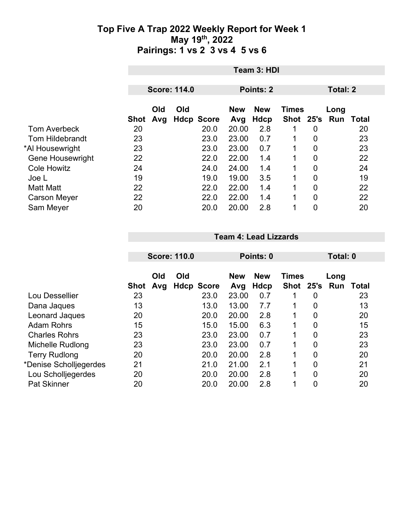| Team 3: HDI |      |     |                     |                   |            |                          |                |              |                  |  |
|-------------|------|-----|---------------------|-------------------|------------|--------------------------|----------------|--------------|------------------|--|
|             |      |     |                     |                   |            |                          |                |              |                  |  |
|             |      |     |                     |                   |            |                          |                | Total: 2     |                  |  |
|             | Old  | Old |                     | <b>New</b>        | <b>New</b> |                          |                | Long         | Total            |  |
| 20          |      |     | 20.0                | 20.00             | 2.8        |                          | 0              |              | 20               |  |
| 23          |      |     | 23.0                | 23.00             | 0.7        |                          | $\overline{0}$ |              | 23               |  |
| 23          |      |     | 23.0                | 23.00             | 0.7        | 1                        | $\overline{0}$ |              | 23               |  |
| 22          |      |     | 22.0                | 22.00             | 1.4        | 1                        | $\overline{0}$ |              | 22               |  |
| 24          |      |     | 24.0                | 24.00             | 1.4        | 1                        | 0              |              | 24               |  |
| 19          |      |     | 19.0                | 19.00             | 3.5        | 1                        | $\overline{0}$ |              | 19               |  |
| 22          |      |     | 22.0                | 22.00             | 1.4        | 1                        | $\overline{0}$ |              | 22               |  |
| 22          |      |     | 22.0                | 22.00             | 1.4        | 1                        | $\overline{0}$ |              | 22               |  |
| 20          |      |     | 20.0                | 20.00             | 2.8        | 1                        | 0              |              | 20               |  |
|             | Shot | Avg | <b>Score: 114.0</b> | <b>Hdcp Score</b> | Avg        | Points: 2<br><b>Hdcp</b> |                | <b>Times</b> | Shot 25's<br>Run |  |

|  | <b>Team 4: Lead Lizzards</b> |  |  |  |  |
|--|------------------------------|--|--|--|--|
|--|------------------------------|--|--|--|--|

|                         | <b>Score: 110.0</b> |            |     | Points: 0         | Total: 0          |                    |                           |                |             |              |
|-------------------------|---------------------|------------|-----|-------------------|-------------------|--------------------|---------------------------|----------------|-------------|--------------|
|                         | <b>Shot</b>         | Old<br>Avg | Old | <b>Hdcp Score</b> | <b>New</b><br>Avg | <b>New</b><br>Hdcp | <b>Times</b><br>Shot 25's |                | Long<br>Run | <b>Total</b> |
| Lou Dessellier          | 23                  |            |     | 23.0              | 23.00             | 0.7                |                           | 0              |             | 23           |
| Dana Jaques             | 13                  |            |     | 13.0              | 13.00             | 7.7                | 1                         | 0              |             | 13           |
| Leonard Jaques          | 20                  |            |     | 20.0              | 20.00             | 2.8                | 1                         | $\overline{0}$ |             | 20           |
| <b>Adam Rohrs</b>       | 15                  |            |     | 15.0              | 15.00             | 6.3                |                           | $\overline{0}$ |             | 15           |
| <b>Charles Rohrs</b>    | 23                  |            |     | 23.0              | 23.00             | 0.7                | 1                         | 0              |             | 23           |
| <b>Michelle Rudlong</b> | 23                  |            |     | 23.0              | 23.00             | 0.7                | 1                         | $\overline{0}$ |             | 23           |
| <b>Terry Rudlong</b>    | 20                  |            |     | 20.0              | 20.00             | 2.8                | 1                         | 0              |             | 20           |
| *Denise Scholljegerdes  | 21                  |            |     | 21.0              | 21.00             | 2.1                | 1                         | 0              |             | 21           |
| Lou Scholljegerdes      | 20                  |            |     | 20.0              | 20.00             | 2.8                | 1                         | $\overline{0}$ |             | 20           |
| <b>Pat Skinner</b>      | 20                  |            |     | 20.0              | 20.00             | 2.8                | 4                         | 0              |             | 20           |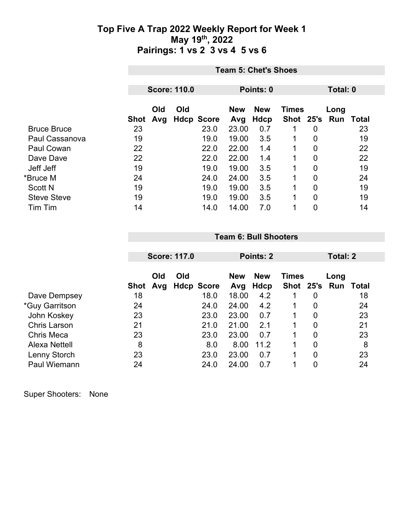|                    | <b>Team 5: Chet's Shoes</b> |     |     |                   |            |            |              |                |          |       |
|--------------------|-----------------------------|-----|-----|-------------------|------------|------------|--------------|----------------|----------|-------|
|                    | <b>Score: 110.0</b>         |     |     |                   |            | Points: 0  |              |                | Total: 0 |       |
|                    |                             |     |     |                   |            |            |              |                |          |       |
|                    |                             | Old | Old |                   | <b>New</b> | <b>New</b> | <b>Times</b> |                | Long     |       |
|                    | Shot                        | Avg |     | <b>Hdcp Score</b> | Avg        | Hdcp       | Shot 25's    |                | Run      | Total |
| <b>Bruce Bruce</b> | 23                          |     |     | 23.0              | 23.00      | 0.7        |              | $\overline{0}$ |          | 23    |
| Paul Cassanova     | 19                          |     |     | 19.0              | 19.00      | 3.5        |              | 0              |          | 19    |
| <b>Paul Cowan</b>  | 22                          |     |     | 22.0              | 22.00      | 1.4        |              | 0              |          | 22    |
| Dave Dave          | 22                          |     |     | 22.0              | 22.00      | 1.4        |              | 0              |          | 22    |
| Jeff Jeff          | 19                          |     |     | 19.0              | 19.00      | 3.5        |              | 0              |          | 19    |
| *Bruce M           | 24                          |     |     | 24.0              | 24.00      | 3.5        |              | 0              |          | 24    |
| <b>Scott N</b>     | 19                          |     |     | 19.0              | 19.00      | 3.5        |              | 0              |          | 19    |
| <b>Steve Steve</b> | 19                          |     |     | 19.0              | 19.00      | 3.5        |              | 0              |          | 19    |
| Tim Tim            | 14                          |     |     | 14.0              | 14.00      | 7.0        |              | 0              |          | 14    |

|                     |                           | <b>Score: 117.0</b>      | Points: 2                               |              |                | Total: 2              |              |  |
|---------------------|---------------------------|--------------------------|-----------------------------------------|--------------|----------------|-----------------------|--------------|--|
|                     | Old<br>Avg<br><b>Shot</b> | Old<br><b>Hdcp Score</b> | <b>New</b><br><b>New</b><br>Hdcp<br>Avg | <b>Times</b> |                | Long<br>Shot 25's Run | <b>Total</b> |  |
| Dave Dempsey        | 18                        | 18.0                     | 18.00<br>4.2                            |              | 0              |                       | 18           |  |
| *Guy Garritson      | 24                        | 24.0                     | 24.00<br>4.2                            |              | 0              |                       | 24           |  |
| John Koskey         | 23                        | 23.0                     | 23.00<br>0.7                            |              | 0              |                       | 23           |  |
| <b>Chris Larson</b> | 21                        | 21.0                     | 21.00<br>2.1                            |              | 0              |                       | 21           |  |
| Chris Meca          | 23                        | 23.0                     | 23.00<br>0.7                            |              | $\overline{0}$ |                       | 23           |  |
| Alexa Nettell       | 8                         | 8.0                      | 8.00<br>11.2                            |              | $\overline{0}$ |                       | 8            |  |
| Lenny Storch        | 23                        | 23.0                     | 23.00<br>0.7                            |              | 0              |                       | 23           |  |
| Paul Wiemann        | 24                        | 24.0                     | 24.00<br>0.7                            |              | 0              |                       | 24           |  |

**Team 6: Bull Shooters**

Super Shooters: None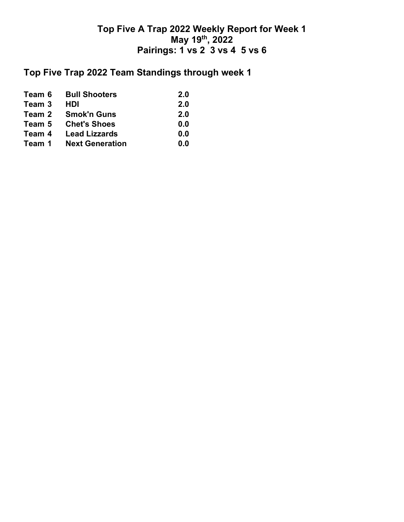## **Top Five Trap 2022 Team Standings through week 1**

|        | <b>Team 6 Bull Shooters</b> | <b>2.0</b> |
|--------|-----------------------------|------------|
| Team 3 | HDI                         | 2.0        |
|        | Team 2 Smok'n Guns          | 2.0        |
| Team 5 | <b>Chet's Shoes</b>         | 0.0        |
| Team 4 | <b>Lead Lizzards</b>        | 0.0        |
| Team 1 | <b>Next Generation</b>      | 0.0        |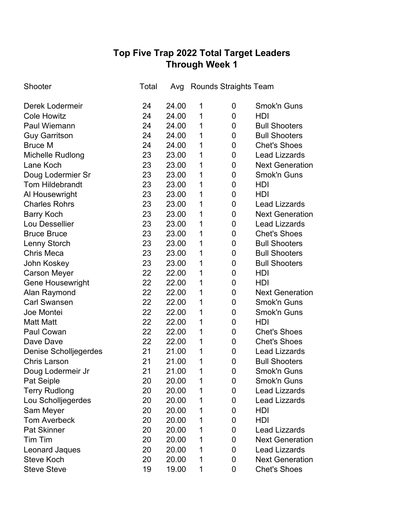# **Top Five Trap 2022 Total Target Leaders Through Week 1**

| Shooter                      | Total | Avg   |   | Rounds Straights Team |                        |
|------------------------------|-------|-------|---|-----------------------|------------------------|
| Derek Lodermeir              | 24    | 24.00 | 1 | 0                     | <b>Smok'n Guns</b>     |
| <b>Cole Howitz</b>           | 24    | 24.00 | 1 | 0                     | HDI                    |
| Paul Wiemann                 | 24    | 24.00 | 1 | 0                     | <b>Bull Shooters</b>   |
| <b>Guy Garritson</b>         | 24    | 24.00 | 1 | $\mathbf 0$           | <b>Bull Shooters</b>   |
| <b>Bruce M</b>               | 24    | 24.00 | 1 | $\mathbf 0$           | <b>Chet's Shoes</b>    |
| Michelle Rudlong             | 23    | 23.00 | 1 | $\mathbf 0$           | <b>Lead Lizzards</b>   |
| Lane Koch                    | 23    | 23.00 | 1 | 0                     | <b>Next Generation</b> |
| Doug Lodermier Sr            | 23    | 23.00 | 1 | $\mathbf 0$           | <b>Smok'n Guns</b>     |
| <b>Tom Hildebrandt</b>       | 23    | 23.00 | 1 | 0                     | HDI                    |
| Al Housewright               | 23    | 23.00 | 1 | $\mathbf 0$           | HDI                    |
| <b>Charles Rohrs</b>         | 23    | 23.00 | 1 | 0                     | <b>Lead Lizzards</b>   |
| <b>Barry Koch</b>            | 23    | 23.00 | 1 | $\mathbf 0$           | <b>Next Generation</b> |
| Lou Dessellier               | 23    | 23.00 | 1 | 0                     | <b>Lead Lizzards</b>   |
| <b>Bruce Bruce</b>           | 23    | 23.00 | 1 | $\mathbf 0$           | <b>Chet's Shoes</b>    |
| <b>Lenny Storch</b>          | 23    | 23.00 | 1 | 0                     | <b>Bull Shooters</b>   |
| <b>Chris Meca</b>            | 23    | 23.00 | 1 | 0                     | <b>Bull Shooters</b>   |
| John Koskey                  | 23    | 23.00 | 1 | 0                     | <b>Bull Shooters</b>   |
| <b>Carson Meyer</b>          | 22    | 22.00 | 1 | $\mathbf 0$           | <b>HDI</b>             |
| <b>Gene Housewright</b>      | 22    | 22.00 | 1 | 0                     | HDI                    |
| Alan Raymond                 | 22    | 22.00 | 1 | 0                     | <b>Next Generation</b> |
| <b>Carl Swansen</b>          | 22    | 22.00 | 1 | 0                     | <b>Smok'n Guns</b>     |
| Joe Montei                   | 22    | 22.00 | 1 | 0                     | <b>Smok'n Guns</b>     |
| <b>Matt Matt</b>             | 22    | 22.00 | 1 | 0                     | <b>HDI</b>             |
| Paul Cowan                   | 22    | 22.00 | 1 | 0                     | <b>Chet's Shoes</b>    |
| Dave Dave                    | 22    | 22.00 | 1 | 0                     | <b>Chet's Shoes</b>    |
| <b>Denise Scholljegerdes</b> | 21    | 21.00 | 1 | 0                     | <b>Lead Lizzards</b>   |
| <b>Chris Larson</b>          | 21    | 21.00 | 1 | 0                     | <b>Bull Shooters</b>   |
| Doug Lodermeir Jr            | 21    | 21.00 | 1 | 0                     | Smok'n Guns            |
| Pat Seiple                   | 20    | 20.00 | 1 | 0                     | Smok'n Guns            |
| <b>Terry Rudlong</b>         | 20    | 20.00 | 1 | 0                     | <b>Lead Lizzards</b>   |
| Lou Scholljegerdes           | 20    | 20.00 | 1 | 0                     | <b>Lead Lizzards</b>   |
| Sam Meyer                    | 20    | 20.00 | 1 | 0                     | HDI                    |
| <b>Tom Averbeck</b>          | 20    | 20.00 | 1 | 0                     | HDI                    |
| <b>Pat Skinner</b>           | 20    | 20.00 | 1 | 0                     | <b>Lead Lizzards</b>   |
| Tim Tim                      | 20    | 20.00 | 1 | 0                     | <b>Next Generation</b> |
| Leonard Jaques               | 20    | 20.00 | 1 | 0                     | <b>Lead Lizzards</b>   |
| <b>Steve Koch</b>            | 20    | 20.00 | 1 | 0                     | <b>Next Generation</b> |
| <b>Steve Steve</b>           | 19    | 19.00 | 1 | 0                     | <b>Chet's Shoes</b>    |